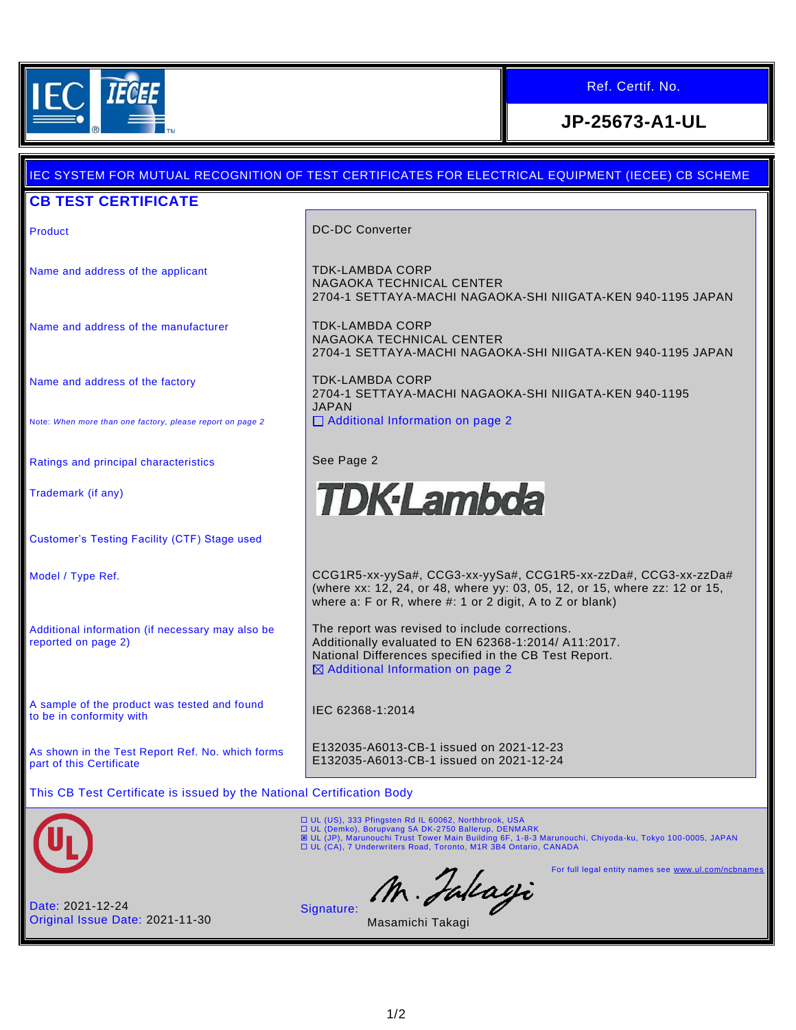

## Ref. Certif. No.

**JP-25673-A1-UL**

# IEC SYSTEM FOR MUTUAL RECOGNITION OF TEST CERTIFICATES FOR ELECTRICAL EQUIPMENT (IECEE) CB SCHEME

#### **CB TEST CERTIFICATE**

Name and address of the applicant TDK-LAMBDA CORP

Name and address of the manufacturer TELLAMBDA CORP

Name and address of the factory

Note: *When more than one factory, please report on page 2*

Ratings and principal characteristics **See Page 2** 

Trademark (if any)

Customer's Testing Facility (CTF) Stage used

Additional information (if necessary may also be reported on page 2)

A sample of the product was tested and found A sample of the product was tested and found<br>to be in conformity with

As shown in the Test Report Ref. No. which forms part of this Certificate

Product **DC-DC Converter** 

NAGAOKA TECHNICAL CENTER 2704-1 SETTAYA-MACHI NAGAOKA-SHI NIIGATA-KEN 940-1195 JAPAN

NAGAOKA TECHNICAL CENTER 2704-1 SETTAYA-MACHI NAGAOKA-SHI NIIGATA-KEN 940-1195 JAPAN

TDK-LAMBDA CORP 2704-1 SETTAYA-MACHI NAGAOKA-SHI NIIGATA-KEN 940-1195 JAPAN □ Additional Information on page 2



Model / Type Ref. CCG1R5-xx-yySa#, CCG3-xx-yySa#, CCG1R5-xx-zzDa#, CCG3-xx-zzDa# (where xx: 12, 24, or 48, where yy: 03, 05, 12, or 15, where zz: 12 or 15, where a: F or R, where #: 1 or 2 digit, A to Z or blank)

> The report was revised to include corrections. Additionally evaluated to EN 62368-1:2014/ A11:2017. National Differences specified in the CB Test Report.  $\boxtimes$  Additional Information on page 2

E132035-A6013-CB-1 issued on 2021-12-23 E132035-A6013-CB-1 issued on 2021-12-24

This CB Test Certificate is issued by the National Certification Body



ロ UL (US), 333 Pfingsten Rd IL 60062, Northbrook, USA<br>ロ UL (Demko), Borupvang 5A DK-2750 Ballerup, DENMARK<br>図 UL (JP), Marunouchi Trust Tower Main Building 6F, 1-8-3 Marunouchi, Chiyoda-ku, Tokyo 100-0005, JAPAN UL (CA), 7 Underwriters Road, Toronto, M1R 3B4 Ontario, CANADA

M. Jakayi Signature:

For full legal entity names see [www.ul.com/ncbnames](http://www.ul.com/ncbnames)

Date: 2021-12-24 Original Issue Date: 2021-11-30

Masamichi Takagi